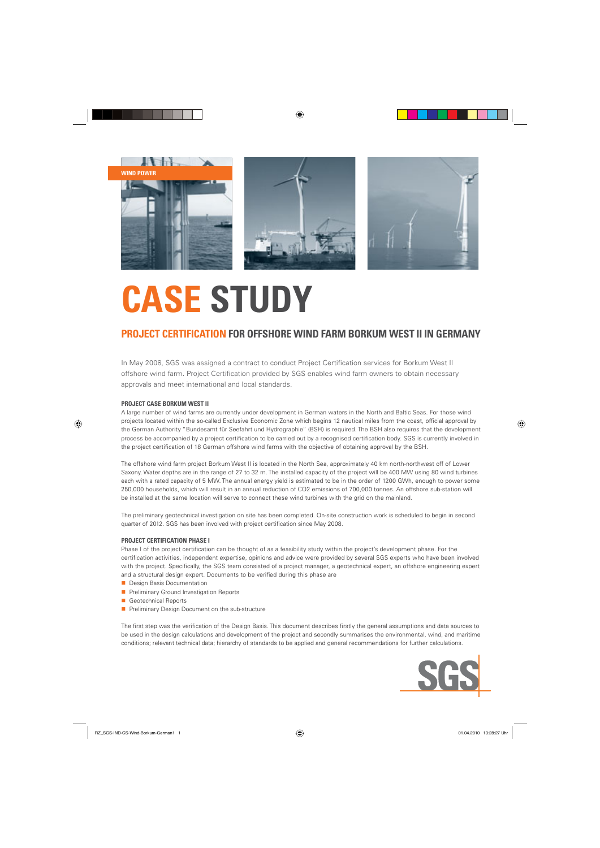

## **CASE STUDY**

### **PROJECT CERTIFICATION FOR OFFSHORE WIND FARM BORKUM WEST II IN GERMANY**

In May 2008, SGS was assigned a contract to conduct Project Certification services for Borkum West II offshore wind farm. Project Certification provided by SGS enables wind farm owners to obtain necessary approvals and meet international and local standards.

#### **PROJECT CASE BORKUM WEST II**

A large number of wind farms are currently under development in German waters in the North and Baltic Seas. For those wind projects located within the so-called Exclusive Economic Zone which begins 12 nautical miles from the coast, official approval by the German Authority "Bundesamt für Seefahrt und Hydrographie" (BSH) is required. The BSH also requires that the development process be accompanied by a project certification to be carried out by a recognised certification body. SGS is currently involved in the project certification of 18 German offshore wind farms with the objective of obtaining approval by the BSH.

The offshore wind farm project Borkum West II is located in the North Sea, approximately 40 km north-northwest off of Lower Saxony. Water depths are in the range of 27 to 32 m. The installed capacity of the project will be 400 MW using 80 wind turbines each with a rated capacity of 5 MW. The annual energy yield is estimated to be in the order of 1200 GWh, enough to power some 250,000 households, which will result in an annual reduction of CO2 emissions of 700,000 tonnes. An offshore sub-station will be installed at the same location will serve to connect these wind turbines with the grid on the mainland.

The preliminary geotechnical investigation on site has been completed. On-site construction work is scheduled to begin in second quarter of 2012. SGS has been involved with project certification since May 2008.

#### **PROJECT CERTIFICATION PHASE I**

Phase I of the project certification can be thought of as a feasibility study within the project's development phase. For the certification activities, independent expertise, opinions and advice were provided by several SGS experts who have been involved with the project. Specifically, the SGS team consisted of a project manager, a geotechnical expert, an offshore engineering expert and a structural design expert. Documents to be verified during this phase are

- **n** Design Basis Documentation
- **n** Preliminary Ground Investigation Reports
- Geotechnical Reports
- **n** Preliminary Design Document on the sub-structure

The first step was the verification of the Design Basis. This document describes firstly the general assumptions and data sources to be used in the design calculations and development of the project and secondly summarises the environmental, wind, and maritime conditions; relevant technical data; hierarchy of standards to be applied and general recommendations for further calculations.